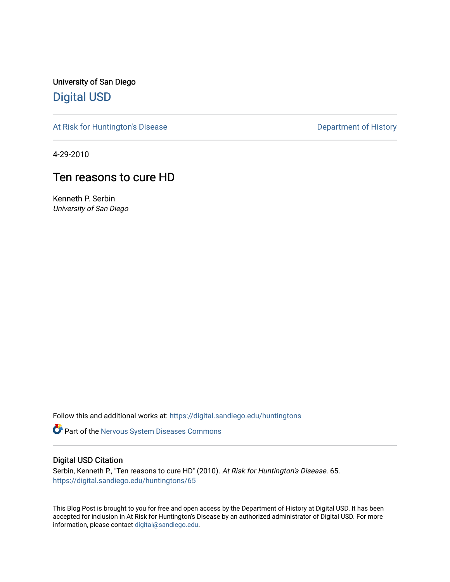University of San Diego [Digital USD](https://digital.sandiego.edu/)

[At Risk for Huntington's Disease](https://digital.sandiego.edu/huntingtons) **Department of History** Department of History

4-29-2010

## Ten reasons to cure HD

Kenneth P. Serbin University of San Diego

Follow this and additional works at: [https://digital.sandiego.edu/huntingtons](https://digital.sandiego.edu/huntingtons?utm_source=digital.sandiego.edu%2Fhuntingtons%2F65&utm_medium=PDF&utm_campaign=PDFCoverPages)

**Part of the [Nervous System Diseases Commons](http://network.bepress.com/hgg/discipline/928?utm_source=digital.sandiego.edu%2Fhuntingtons%2F65&utm_medium=PDF&utm_campaign=PDFCoverPages)** 

## Digital USD Citation

Serbin, Kenneth P., "Ten reasons to cure HD" (2010). At Risk for Huntington's Disease. 65. [https://digital.sandiego.edu/huntingtons/65](https://digital.sandiego.edu/huntingtons/65?utm_source=digital.sandiego.edu%2Fhuntingtons%2F65&utm_medium=PDF&utm_campaign=PDFCoverPages)

This Blog Post is brought to you for free and open access by the Department of History at Digital USD. It has been accepted for inclusion in At Risk for Huntington's Disease by an authorized administrator of Digital USD. For more information, please contact [digital@sandiego.edu.](mailto:digital@sandiego.edu)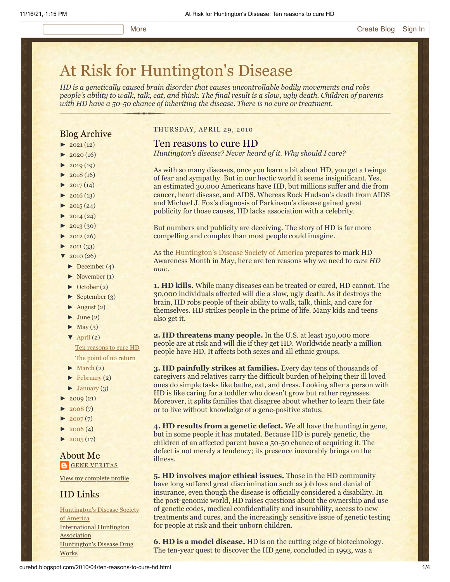# [At Risk for Huntington's Disease](http://curehd.blogspot.com/)

*HD is a genetically caused brain disorder that causes uncontrollable bodily movements and robs people's ability to walk, talk, eat, and think. The final result is a slow, ugly death. Children of parents with HD have a 50-50 chance of inheriting the disease. There is no cure or treatment.*

### Blog Archive

- $\blacktriangleright$  [2021](http://curehd.blogspot.com/2021/)(12)
- $\blacktriangleright$  [2020](http://curehd.blogspot.com/2020/) (16)
- $\blacktriangleright$  [2019](http://curehd.blogspot.com/2019/) (19)
- $\blacktriangleright$  [2018](http://curehd.blogspot.com/2018/) (16)
- $\blacktriangleright$  [2017](http://curehd.blogspot.com/2017/) (14)
- $-2016(13)$  $-2016(13)$  $-2016(13)$  $\blacktriangleright$  [2015](http://curehd.blogspot.com/2015/) (24)
- 
- $\blacktriangleright$  [2014](http://curehd.blogspot.com/2014/) (24)  $\blacktriangleright$  [2013](http://curehd.blogspot.com/2013/) (30)
- $\blacktriangleright$  [2012](http://curehd.blogspot.com/2012/) (26)
- $\blacktriangleright$  [2011](http://curehd.blogspot.com/2011/) (33)
- $\sqrt{2010(26)}$  $\sqrt{2010(26)}$  $\sqrt{2010(26)}$
- - [►](javascript:void(0)) [December](http://curehd.blogspot.com/2010/12/) (4)
- [►](javascript:void(0)) [November](http://curehd.blogspot.com/2010/11/) (1) [►](javascript:void(0)) [October](http://curehd.blogspot.com/2010/10/) (2)
- $\blacktriangleright$  [September](http://curehd.blogspot.com/2010/09/) (3)
- $\blacktriangleright$  [August](http://curehd.blogspot.com/2010/08/) (2)
- $\blacktriangleright$  [June](http://curehd.blogspot.com/2010/06/) (2)
- $\blacktriangleright$  [May](http://curehd.blogspot.com/2010/05/) (3)
- $\nabla$  [April](http://curehd.blogspot.com/2010/04/) (2)
- Ten [reasons](http://curehd.blogspot.com/2010/04/ten-reasons-to-cure-hd.html) to cure HD The point of no [return](http://curehd.blogspot.com/2010/04/point-of-no-return.html)
- $\blacktriangleright$  [March](http://curehd.blogspot.com/2010/03/) (2)
- $\blacktriangleright$  [February](http://curehd.blogspot.com/2010/02/) (2)
- [►](javascript:void(0)) [January](http://curehd.blogspot.com/2010/01/) (3)
- $2009(21)$  $2009(21)$
- $2008(7)$  $2008(7)$
- $2007(7)$  $2007(7)$
- $\blacktriangleright$  [2006](http://curehd.blogspot.com/2006/) (4)
- $\blacktriangleright$  [2005](http://curehd.blogspot.com/2005/) (17)

#### About Me **GENE [VERITAS](https://www.blogger.com/profile/10911736205741688185)**

View my [complete](https://www.blogger.com/profile/10911736205741688185) profile

## HD Links

[Huntington's](http://www.hdsa.org/) Disease Society of America [International](http://www.huntington-assoc.com/) Huntington **Association** [Huntington's](http://hddrugworks.org/) Disease Drug **Works** 

#### THURSDAY, APRIL 29, 2010

#### Ten reasons to cure HD

*Huntington's disease? Never heard of it. Why should I care?*

As with so many diseases, once you learn a bit about HD, you get a twinge of fear and sympathy. But in our hectic world it seems insignificant. Yes, an estimated 30,000 Americans have HD, but millions suffer and die from cancer, heart disease, and AIDS. Whereas Rock Hudson's death from AIDS and Michael J. Fox's diagnosis of Parkinson's disease gained great publicity for those causes, HD lacks association with a celebrity.

But numbers and publicity are deceiving. The story of HD is far more compelling and complex than most people could imagine.

As the [Huntington's Disease Society of America](http://www.hdsa.org/) prepares to mark HD Awareness Month in May, here are ten reasons why we need to *cure HD now*.

**1. HD kills.** While many diseases can be treated or cured, HD cannot. The 30,000 individuals affected will die a slow, ugly death. As it destroys the brain, HD robs people of their ability to walk, talk, think, and care for themselves. HD strikes people in the prime of life. Many kids and teens also get it.

**2. HD threatens many people.** In the U.S. at least 150,000 more people are at risk and will die if they get HD. Worldwide nearly a million people have HD. It affects both sexes and all ethnic groups.

**3. HD painfully strikes at families.** Every day tens of thousands of caregivers and relatives carry the difficult burden of helping their ill loved ones do simple tasks like bathe, eat, and dress. Looking after a person with HD is like caring for a toddler who doesn't grow but rather regresses. Moreover, it splits families that disagree about whether to learn their fate or to live without knowledge of a gene-positive status.

**4. HD results from a genetic defect.** We all have the huntingtin gene, but in some people it has mutated. Because HD is purely genetic, the children of an affected parent have a 50-50 chance of acquiring it. The defect is not merely a tendency; its presence inexorably brings on the illness.

**5. HD involves major ethical issues.** Those in the HD community have long suffered great discrimination such as job loss and denial of insurance, even though the disease is officially considered a disability. In the post-genomic world, HD raises questions about the ownership and use of genetic codes, medical confidentiality and insurability, access to new treatments and cures, and the increasingly sensitive issue of genetic testing for people at risk and their unborn children.

**6. HD is a model disease.** HD is on the cutting edge of biotechnology. The ten-year quest to discover the HD gene, concluded in 1993, was a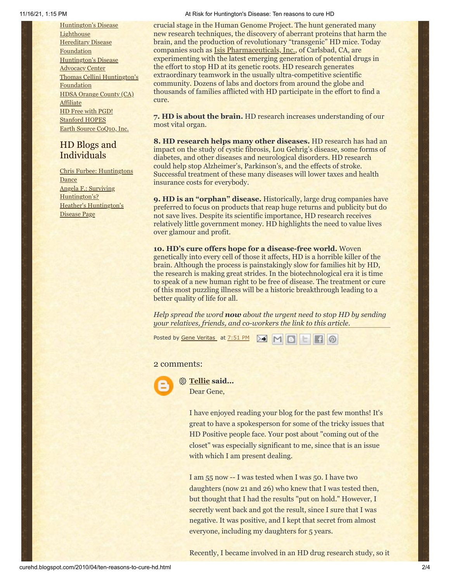[Huntington's](http://www.hdlighthouse.org/) Disease **Lighthouse** Hereditary Disease [Foundation](http://www.hdfoundation.org/) [Huntington's](http://www.hdac.org/) Disease Advocacy Center Thomas [Cellini Huntington's](http://www.ourtchfoundation.org/) **Foundation** HDSA [Orange](http://www.hdsaoc.org/) County (CA) Affiliate HD Free with [PGD!](http://www.hdfreewithpgd.com/) [Stanford](http://www.stanford.edu/group/hopes/) HOPES Earth Source [CoQ10,](http://www.escoq10.com/) Inc.

## HD Blogs and Individuals

Chris Furbee: [Huntingtons](http://www.huntingtonsdance.org/) Dance Angela F.: Surviving [Huntington's?](http://survivinghuntingtons.blogspot.com/) Heather's [Huntington's](http://heatherdugdale.angelfire.com/) Disease Page

#### 11/16/21, 1:15 PM At Risk for Huntington's Disease: Ten reasons to cure HD

crucial stage in the Human Genome Project. The hunt generated many new research techniques, the discovery of aberrant proteins that harm the brain, and the production of revolutionary "transgenic" HD mice. Today companies such as [Isis Pharmaceuticals, Inc.,](http://www.hdsasandiego.org/aev-41.aspx) of Carlsbad, CA, are experimenting with the latest emerging generation of potential drugs in the effort to stop HD at its genetic roots. HD research generates extraordinary teamwork in the usually ultra-competitive scientific community. Dozens of labs and doctors from around the globe and thousands of families afflicted with HD participate in the effort to find a cure.

**7. HD is about the brain.** HD research increases understanding of our most vital organ.

**8. HD research helps many other diseases.** HD research has had an impact on the study of cystic fibrosis, Lou Gehrig's disease, some forms of diabetes, and other diseases and neurological disorders. HD research could help stop Alzheimer's, Parkinson's, and the effects of stroke. Successful treatment of these many diseases will lower taxes and health insurance costs for everybody.

**9. HD is an "orphan" disease.** Historically, large drug companies have preferred to focus on products that reap huge returns and publicity but do not save lives. Despite its scientific importance, HD research receives relatively little government money. HD highlights the need to value lives over glamour and profit.

**10. HD's cure offers hope for a disease-free world.** Woven genetically into every cell of those it affects, HD is a horrible killer of the brain. Although the process is painstakingly slow for families hit by HD, the research is making great strides. In the biotechnological era it is time to speak of a new human right to be free of disease. The treatment or cure of this most puzzling illness will be a historic breakthrough leading to a better quality of life for all.

*Help spread the word now about the urgent need to stop HD by sending your relatives, friends, and co-workers the link to this article.*

Posted by <u>Gene [Veritas](https://www.blogger.com/profile/03599828959793084715)</u> at <u>[7:51](http://curehd.blogspot.com/2010/04/ten-reasons-to-cure-hd.html) PM</u> **M M B B C** 

#### 2 comments:



**[Tellie](https://www.blogger.com/profile/05179849341648642755) said...** Dear Gene,

> I have enjoyed reading your blog for the past few months! It's great to have a spokesperson for some of the tricky issues that HD Positive people face. Your post about "coming out of the closet" was especially significant to me, since that is an issue with which I am present dealing.

I am 55 now -- I was tested when I was 50. I have two daughters (now 21 and 26) who knew that I was tested then, but thought that I had the results "put on hold." However, I secretly went back and got the result, since I sure that I was negative. It was positive, and I kept that secret from almost everyone, including my daughters for 5 years.

Recently, I became involved in an HD drug research study, so it